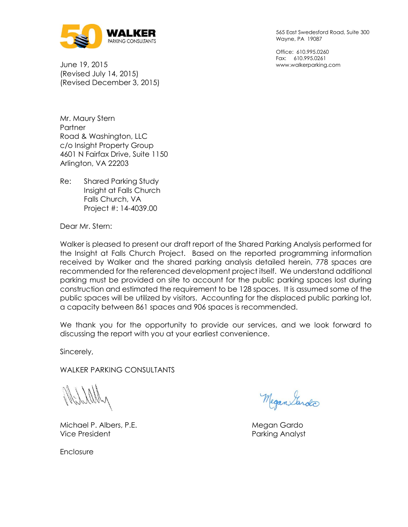

June 19, 2015 (Revised July 14, 2015) (Revised December 3, 2015) 565 East Swedesford Road, Suite 300 Wayne, PA 19087

Office: 610.995.0260 Fax: 610.995.0261 www.walkerparking.com

Mr. Maury Stern **Partner** Road & Washington, LLC c/o Insight Property Group 4601 N Fairfax Drive, Suite 1150 Arlington, VA 22203

Re: Shared Parking Study Insight at Falls Church Falls Church, VA Project #: 14-4039.00

Dear Mr. Stern:

Walker is pleased to present our draft report of the Shared Parking Analysis performed for the Insight at Falls Church Project. Based on the reported programming information received by Walker and the shared parking analysis detailed herein, 778 spaces are recommended for the referenced development project itself. We understand additional parking must be provided on site to account for the public parking spaces lost during construction and estimated the requirement to be 128 spaces. It is assumed some of the public spaces will be utilized by visitors. Accounting for the displaced public parking lot, a capacity between 861 spaces and 906 spaces is recommended.

We thank you for the opportunity to provide our services, and we look forward to discussing the report with you at your earliest convenience.

Sincerely,

WALKER PARKING CONSULTANTS

Michael P. Albers, P.E. **Michael P. Albers, P.E.** Megan Gardo Vice President **Parking Analyst** Parking Analyst

Megan Sardo

**Enclosure**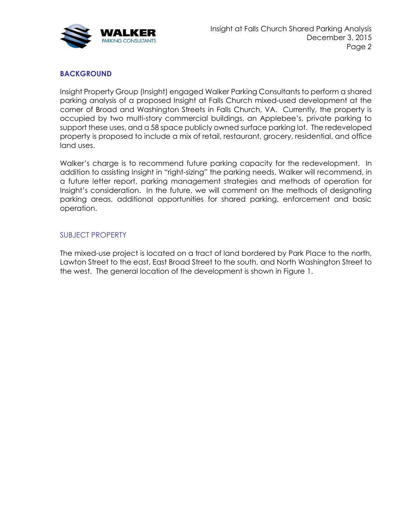

### **BACKGROUND**

Insight Property Group (Insight) engaged Walker Parking Consultants to perform a shared parking analysis of a proposed Insight at Falls Church mixed-used development at the corner of Broad and Washington Streets in Falls Church, VA. Currently, the property is occupied by two multi-story commercial buildings, an Applebee's, private parking to support these uses, and a 58 space publicly owned surface parking lot. The redeveloped property is proposed to include a mix of retail, restaurant, grocery, residential, and office land uses.

Walker's charge is to recommend future parking capacity for the redevelopment. In addition to assisting Insight in "right-sizing" the parking needs, Walker will recommend, in a future letter report, parking management strategies and methods of operation for Insight's consideration. In the future, we will comment on the methods of designating parking areas, additional opportunities for shared parking, enforcement and basic operation.

### SUBJECT PROPERTY

The mixed-use project is located on a tract of land bordered by Park Place to the north, Lawton Street to the east, East Broad Street to the south, and North Washington Street to the west. The general location of the development is shown in Figure 1.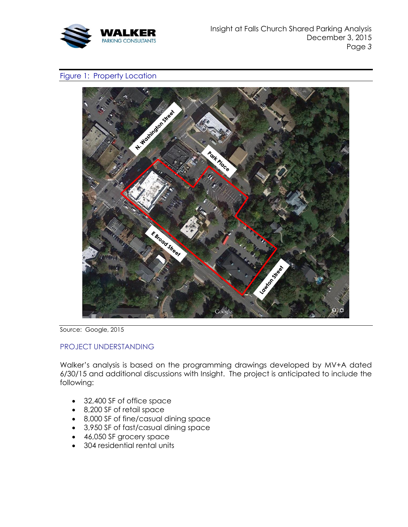

#### Figure 1: Property Location



Source: Google, 2015

### PROJECT UNDERSTANDING

Walker's analysis is based on the programming drawings developed by MV+A dated 6/30/15 and additional discussions with Insight. The project is anticipated to include the following:

- 32,400 SF of office space
- 8,200 SF of retail space
- 8,000 SF of fine/casual dining space
- 3,950 SF of fast/casual dining space
- 46,050 SF grocery space
- 304 residential rental units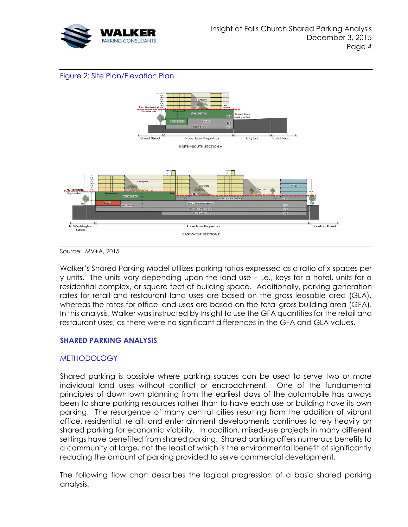





Source: MV+A, 2015

Walker's Shared Parking Model utilizes parking ratios expressed as a ratio of x spaces per y units. The units vary depending upon the land use – i.e., keys for a hotel, units for a residential complex, or square feet of building space. Additionally, parking generation rates for retail and restaurant land uses are based on the gross leasable area (GLA), whereas the rates for office land uses are based on the total gross building area (GFA). In this analysis, Walker was instructed by Insight to use the GFA quantities for the retail and restaurant uses, as there were no significant differences in the GFA and GLA values.

### **SHARED PARKING ANALYSIS**

### **METHODOLOGY**

Shared parking is possible where parking spaces can be used to serve two or more individual land uses without conflict or encroachment. One of the fundamental principles of downtown planning from the earliest days of the automobile has always been to share parking resources rather than to have each use or building have its own parking. The resurgence of many central cities resulting from the addition of vibrant office, residential, retail, and entertainment developments continues to rely heavily on shared parking for economic viability. In addition, mixed-use projects in many different settings have benefited from shared parking. Shared parking offers numerous benefits to a community at large, not the least of which is the environmental benefit of significantly reducing the amount of parking provided to serve commercial development.

The following flow chart describes the logical progression of a basic shared parking analysis.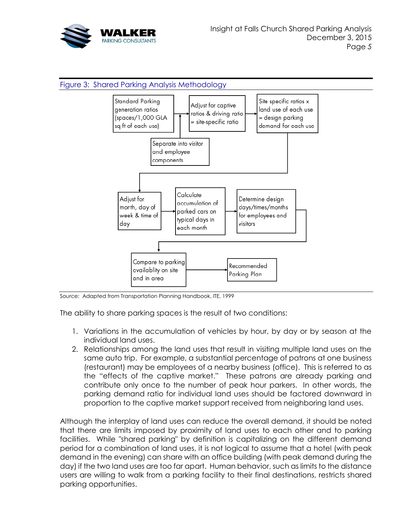



Source: Adapted from Transportation Planning Handbook, ITE, 1999

The ability to share parking spaces is the result of two conditions:

- 1. Variations in the accumulation of vehicles by hour, by day or by season at the individual land uses.
- 2. Relationships among the land uses that result in visiting multiple land uses on the same auto trip. For example, a substantial percentage of patrons at one business (restaurant) may be employees of a nearby business (office). This is referred to as the "effects of the captive market." These patrons are already parking and contribute only once to the number of peak hour parkers. In other words, the parking demand ratio for individual land uses should be factored downward in proportion to the captive market support received from neighboring land uses.

Although the interplay of land uses can reduce the overall demand, it should be noted that there are limits imposed by proximity of land uses to each other and to parking facilities. While "shared parking" by definition is capitalizing on the different demand period for a combination of land uses, it is not logical to assume that a hotel (with peak demand in the evening) can share with an office building (with peak demand during the day) if the two land uses are too far apart. Human behavior, such as limits to the distance users are willing to walk from a parking facility to their final destinations, restricts shared parking opportunities.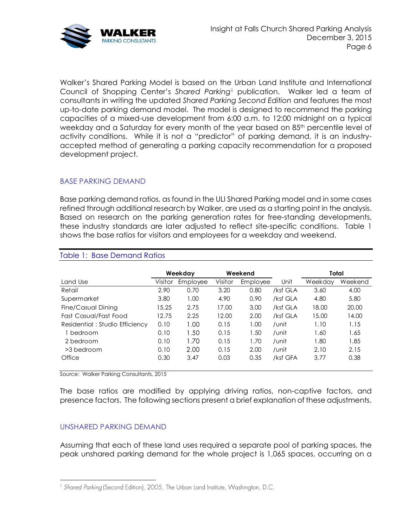

Walker's Shared Parking Model is based on the Urban Land Institute and International Council of Shopping Center's *Shared Parking*<sup>1</sup> publication. Walker led a team of consultants in writing the updated *Shared Parking Second Edition* and features the most up-to-date parking demand model. The model is designed to recommend the parking capacities of a mixed-use development from 6:00 a.m. to 12:00 midnight on a typical weekday and a Saturday for every month of the year based on 85<sup>th</sup> percentile level of activity conditions. While it is not a "predictor" of parking demand, it is an industryaccepted method of generating a parking capacity recommendation for a proposed development project.

### BASE PARKING DEMAND

Base parking demand ratios, as found in the ULI Shared Parking model and in some cases refined through additional research by Walker, are used as a starting point in the analysis. Based on research on the parking generation rates for free-standing developments, these industry standards are later adjusted to reflect site-specific conditions. [Table 1](#page-5-0) shows the base ratios for visitors and employees for a weekday and weekend.

|                                |         | Weekday  |         | Weekend  |          | Total   |         |
|--------------------------------|---------|----------|---------|----------|----------|---------|---------|
| Land Use                       | Visitor | Employee | Visitor | Employee | Unit     | Weekday | Weekend |
| Retail                         | 2.90    | 0.70     | 3.20    | 0.80     | /ksf GLA | 3.60    | 4.00    |
| Supermarket                    | 3.80    | 1.00     | 4.90    | 0.90     | /ksf GLA | 4.80    | 5.80    |
| Fine/Casual Dining             | 15.25   | 2.75     | 17.00   | 3.00     | /ksf GLA | 18.00   | 20.00   |
| Fast Casual/Fast Food          | 12.75   | 2.25     | 12.00   | 2.00     | /ksf GLA | 15.00   | 14.00   |
| Residential: Studio Efficiency | 0.10    | 1.00     | 0.15    | 1.00     | /unit    | 1.10    | 1.15    |
| 1 bedroom                      | 0.10    | 1.50     | 0.15    | 1.50     | /unit    | 1.60    | 1.65    |
| 2 bedroom                      | 0.10    | 1.70     | 0.15    | 1.70     | /unit    | 1.80    | 1.85    |
| >3 bedroom                     | 0.10    | 2.00     | 0.15    | 2.00     | /unit    | 2.10    | 2.15    |
| Office                         | 0.30    | 3.47     | 0.03    | 0.35     | /ksf GFA | 3.77    | 0.38    |

#### <span id="page-5-0"></span>Table 1: Base Demand Ratios

Source: Walker Parking Consultants, 2015

The base ratios are modified by applying driving ratios, non-captive factors, and presence factors. The following sections present a brief explanation of these adjustments.

#### UNSHARED PARKING DEMAND

Assuming that each of these land uses required a separate pool of parking spaces, the peak unshared parking demand for the whole project is 1,065 spaces, occurring on a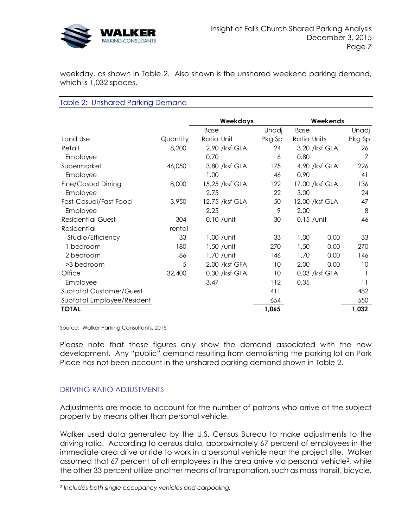

weekday, as shown in [Table 2.](#page-6-0) Also shown is the unshared weekend parking demand, which is 1,032 spaces.

#### <span id="page-6-0"></span>Table 2: Unshared Parking Demand

|                            |          | Weekdays       |              |                | Weekends |              |
|----------------------------|----------|----------------|--------------|----------------|----------|--------------|
|                            |          | Base           | <b>Unadj</b> | Base           |          | <b>Unadj</b> |
| Land Use                   | Quantity | Ratio Unit     | Pkg Sp       | Ratio Units    |          | Pkg Sp       |
| Retail                     | 8,200    | 2.90 /ksf GLA  | 24           | 3.20 /ksf GLA  |          | 26           |
| Employee                   |          | 0.70           | 6            | 0.80           |          | 7            |
| Supermarket                | 46,050   | 3.80 /ksf GLA  | 175          | 4.90 /ksf GLA  |          | 226          |
| Employee                   |          | 1.00           | 46           | 0.90           |          | 41           |
| Fine/Casual Dining         | 8,000    | 15.25 /ksf GLA | 122          | 17.00 /ksf GLA |          | 136          |
| Employee                   |          | 2.75           | 22           | 3.00           |          | 24           |
| Fast Casual/Fast Food      | 3,950    | 12.75 /ksf GLA | 50           | 12.00 /ksf GLA |          | 47           |
| Employee                   |          | 2.25           | 9            | 2.00           |          | 8            |
| <b>Residential Guest</b>   | 304      | $0.10$ / unit  | 30           | $0.15$ / unit  |          | 46           |
| Residential                | rental   |                |              |                |          |              |
| Studio/Efficiency          | 33       | $1.00$ / unit  | 33           | 1.00           | 0.00     | 33           |
| 1 bedroom                  | 180      | $1.50$ / unit  | 270          | 1.50           | 0.00     | 270          |
| 2 bedroom                  | 86       | 1.70 / unit    | 146          | 1.70           | 0.00     | 146          |
| >3 bedroom                 | 5        | 2.00 /ksf GFA  | 10           | 2.00           | 0.00     | 10           |
| Office                     | 32,400   | 0.30 /ksf GFA  | 10           | 0.03 /ksf GFA  |          |              |
| Employee                   |          | 3.47           | 112          | 0.35           |          | 11           |
| Subtotal Customer/Guest    |          |                | 411          |                |          | 482          |
| Subtotal Employee/Resident |          |                | 654          |                |          | 550          |
| <b>TOTAL</b>               |          |                | 1,065        |                |          | 1,032        |

Source: Walker Parking Consultants, 2015

Please note that these figures only show the demand associated with the new development. Any "public" demand resulting from demolishing the parking lot on Park Place has not been account in the unshared parking demand shown in Table 2.

### DRIVING RATIO ADJUSTMENTS

Adjustments are made to account for the number of patrons who arrive at the subject property by means other than personal vehicle.

Walker used data generated by the U.S. Census Bureau to make adjustments to the driving ratio. According to census data, approximately 67 percent of employees in the immediate area drive or ride to work in a personal vehicle near the project site. Walker assumed that 67 percent of all employees in the area arrive via personal vehicle<sup>2</sup>, while the other 33 percent utilize another means of transportation, such as mass transit, bicycle,

*<sup>2</sup> Includes both single occupancy vehicles and carpooling.*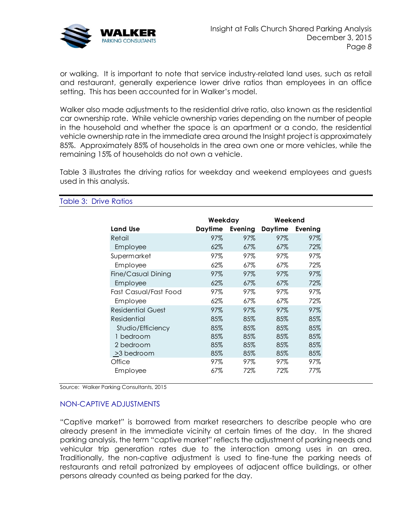

or walking. It is important to note that service industry-related land uses, such as retail and restaurant, generally experience lower drive ratios than employees in an office setting. This has been accounted for in Walker's model.

Walker also made adjustments to the residential drive ratio, also known as the residential car ownership rate. While vehicle ownership varies depending on the number of people in the household and whether the space is an apartment or a condo, the residential vehicle ownership rate in the immediate area around the Insight project is approximately 85%. Approximately 85% of households in the area own one or more vehicles, while the remaining 15% of households do not own a vehicle.

[Table 3](#page-7-0) illustrates the driving ratios for weekday and weekend employees and guests used in this analysis.

|                          | Weekday |         | Weekend        |         |
|--------------------------|---------|---------|----------------|---------|
| Land Use                 | Daytime | Evening | <b>Daytime</b> | Evening |
| Retail                   | 97%     | 97%     | 97%            | 97%     |
| Employee                 | 62%     | 67%     | 67%            | 72%     |
| Supermarket              | 97%     | 97%     | 97%            | 97%     |
| Employee                 | 62%     | 67%     | 67%            | 72%     |
| Fine/Casual Dining       | 97%     | 97%     | 97%            | 97%     |
| Employee                 | 62%     | 67%     | 67%            | 72%     |
| Fast Casual/Fast Food    | 97%     | 97%     | 97%            | 97%     |
| Employee                 | 62%     | 67%     | 67%            | 72%     |
| <b>Residential Guest</b> | 97%     | 97%     | 97%            | 97%     |
| Residential              | 85%     | 85%     | 85%            | 85%     |
| Studio/Efficiency        | 85%     | 85%     | 85%            | 85%     |
| 1 bedroom                | 85%     | 85%     | 85%            | 85%     |
| 2 bedroom                | 85%     | 85%     | 85%            | 85%     |
| >3 bedroom               | 85%     | 85%     | 85%            | 85%     |
| Office                   | 97%     | 97%     | 97%            | 97%     |
| Employee                 | 67%     | 72%     | 72%            | 77%     |

<span id="page-7-0"></span>Table 3: Drive Ratios

Source: Walker Parking Consultants, 2015

#### NON-CAPTIVE ADJUSTMENTS

"Captive market" is borrowed from market researchers to describe people who are already present in the immediate vicinity at certain times of the day. In the shared parking analysis, the term "captive market" reflects the adjustment of parking needs and vehicular trip generation rates due to the interaction among uses in an area. Traditionally, the non-captive adjustment is used to fine-tune the parking needs of restaurants and retail patronized by employees of adjacent office buildings, or other persons already counted as being parked for the day.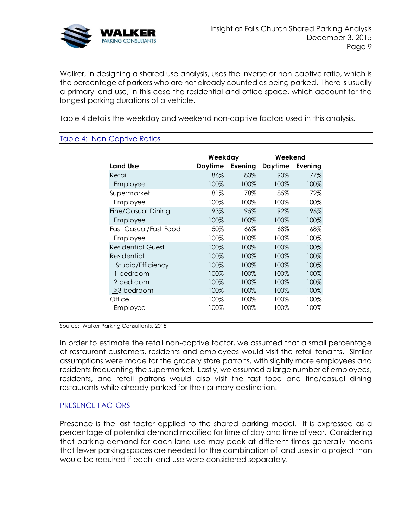

Walker, in designing a shared use analysis, uses the inverse or non-captive ratio, which is the percentage of parkers who are not already counted as being parked. There is usually a primary land use, in this case the residential and office space, which account for the longest parking durations of a vehicle.

[Table 4](#page-8-0) details the weekday and weekend non-captive factors used in this analysis.

#### <span id="page-8-0"></span>Table 4: Non-Captive Ratios

|                       | Weekday |         | Weekend |         |
|-----------------------|---------|---------|---------|---------|
| <b>Land Use</b>       | Daytime | Evening | Daytime | Evening |
| Retail                | 86%     | 83%     | 90%     | 77%     |
| Employee              | 100%    | 100%    | 100%    | 100%    |
| Supermarket           | 81%     | 78%     | 85%     | 72%     |
| Employee              | 100%    | 100%    | 100%    | 100%    |
| Fine/Casual Dining    | 93%     | 95%     | 92%     | 96%     |
| Employee              | 100%    | 100%    | 100%    | 100%    |
| Fast Casual/Fast Food | 50%     | 66%     | 68%     | 68%     |
| Employee              | 100%    | 100%    | 100%    | 100%    |
| Residential Guest     | 100%    | 100%    | 100%    | 100%    |
| Residential           | 100%    | 100%    | 100%    | 100%    |
| Studio/Efficiency     | 100%    | 100%    | 100%    | 100%    |
| 1 bedroom             | 100%    | 100%    | 100%    | 100%    |
| 2 bedroom             | 100%    | 100%    | 100%    | 100%    |
| <u>&gt;</u> 3 bedroom | 100%    | 100%    | 100%    | 100%    |
| Office                | 100%    | 100%    | 100%    | 100%    |
| Employee              | 100%    | 100%    | 100%    | 100%    |

Source: Walker Parking Consultants, 2015

In order to estimate the retail non-captive factor, we assumed that a small percentage of restaurant customers, residents and employees would visit the retail tenants. Similar assumptions were made for the grocery store patrons, with slightly more employees and residents frequenting the supermarket. Lastly, we assumed a large number of employees, residents, and retail patrons would also visit the fast food and fine/casual dining restaurants while already parked for their primary destination.

#### PRESENCE FACTORS

Presence is the last factor applied to the shared parking model. It is expressed as a percentage of potential demand modified for time of day and time of year. Considering that parking demand for each land use may peak at different times generally means that fewer parking spaces are needed for the combination of land uses in a project than would be required if each land use were considered separately.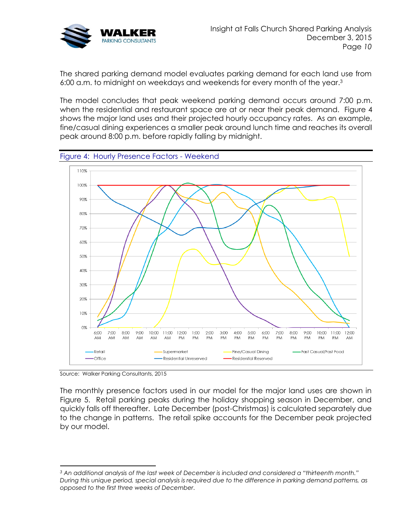

The shared parking demand model evaluates parking demand for each land use from 6:00 a.m. to midnight on weekdays and weekends for every month of the year.<sup>3</sup>

The model concludes that peak weekend parking demand occurs around 7:00 p.m. when the residential and restaurant space are at or near their peak demand. [Figure 4](#page-9-0) shows the major land uses and their projected hourly occupancy rates. As an example, fine/casual dining experiences a smaller peak around lunch time and reaches its overall peak around 8:00 p.m. before rapidly falling by midnight.

<span id="page-9-0"></span>

Source: Walker Parking Consultants, 2015

The monthly presence factors used in our model for the major land uses are shown in [Figure 5.](#page-10-0) Retail parking peaks during the holiday shopping season in December, and quickly falls off thereafter. Late December (post-Christmas) is calculated separately due to the change in patterns. The retail spike accounts for the December peak projected by our model.

*<sup>3</sup> An additional analysis of the last week of December is included and considered a "thirteenth month." During this unique period, special analysis is required due to the difference in parking demand patterns, as opposed to the first three weeks of December.*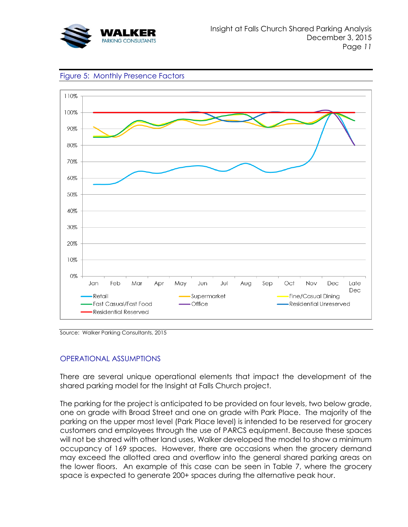

<span id="page-10-0"></span>



Source: Walker Parking Consultants, 2015

# OPERATIONAL ASSUMPTIONS

There are several unique operational elements that impact the development of the shared parking model for the Insight at Falls Church project.

The parking for the project is anticipated to be provided on four levels, two below grade, one on grade with Broad Street and one on grade with Park Place. The majority of the parking on the upper most level (Park Place level) is intended to be reserved for grocery customers and employees through the use of PARCS equipment. Because these spaces will not be shared with other land uses, Walker developed the model to show a minimum occupancy of 169 spaces. However, there are occasions when the grocery demand may exceed the allotted area and overflow into the general shared parking areas on the lower floors. An example of this case can be seen in Table 7, where the grocery space is expected to generate 200+ spaces during the alternative peak hour.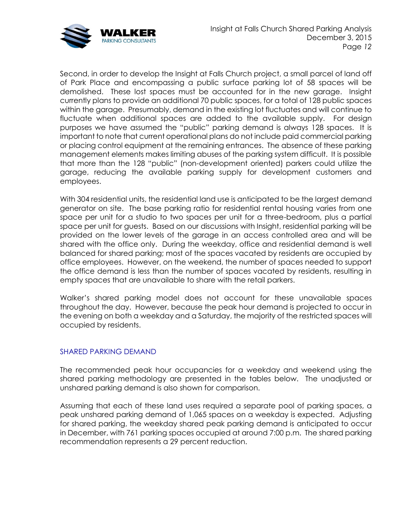

Second, in order to develop the Insight at Falls Church project, a small parcel of land off of Park Place and encompassing a public surface parking lot of 58 spaces will be demolished. These lost spaces must be accounted for in the new garage. Insight currently plans to provide an additional 70 public spaces, for a total of 128 public spaces within the garage. Presumably, demand in the existing lot fluctuates and will continue to fluctuate when additional spaces are added to the available supply. For design purposes we have assumed the "public" parking demand is always 128 spaces. It is important to note that current operational plans do not include paid commercial parking or placing control equipment at the remaining entrances. The absence of these parking management elements makes limiting abuses of the parking system difficult. It is possible that more than the 128 "public" (non-development oriented) parkers could utilize the garage, reducing the available parking supply for development customers and employees.

With 304 residential units, the residential land use is anticipated to be the largest demand generator on site. The base parking ratio for residential rental housing varies from one space per unit for a studio to two spaces per unit for a three-bedroom, plus a partial space per unit for guests. Based on our discussions with Insight, residential parking will be provided on the lower levels of the garage in an access controlled area and will be shared with the office only. During the weekday, office and residential demand is well balanced for shared parking; most of the spaces vacated by residents are occupied by office employees. However, on the weekend, the number of spaces needed to support the office demand is less than the number of spaces vacated by residents, resulting in empty spaces that are unavailable to share with the retail parkers.

Walker's shared parking model does not account for these unavailable spaces throughout the day. However, because the peak hour demand is projected to occur in the evening on both a weekday and a Saturday, the majority of the restricted spaces will occupied by residents.

#### SHARED PARKING DEMAND

The recommended peak hour occupancies for a weekday and weekend using the shared parking methodology are presented in the tables below. The unadjusted or unshared parking demand is also shown for comparison.

Assuming that each of these land uses required a separate pool of parking spaces, a peak unshared parking demand of 1,065 spaces on a weekday is expected. Adjusting for shared parking, the weekday shared peak parking demand is anticipated to occur in December, with 761 parking spaces occupied at around 7:00 p.m. The shared parking recommendation represents a 29 percent reduction.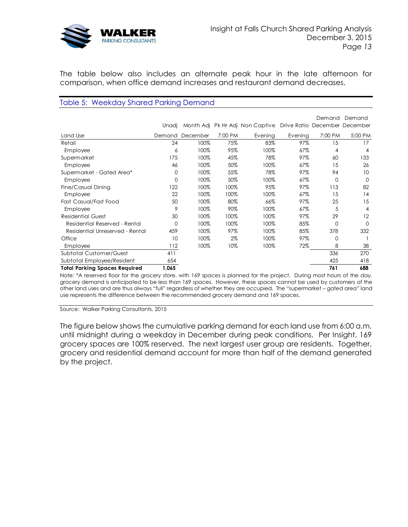

The table below also includes an alternate peak hour in the late afternoon for comparison, when office demand increases and restaurant demand decreases.

#### Table 5: Weekday Shared Parking Demand

|                                      |          |          |         |                                                               |         | Demand   | Demand   |
|--------------------------------------|----------|----------|---------|---------------------------------------------------------------|---------|----------|----------|
|                                      | Unadj    |          |         | Month Adj Pk Hr Adj Non Captive Drive Ratio December December |         |          |          |
| Land Use                             | Demand   | December | 7:00 PM | Evening                                                       | Evening | 7:00 PM  | 5:00 PM  |
| Retail                               | 24       | 100%     | 75%     | 83%                                                           | 97%     | 15       | 17       |
| Employee                             | 6        | 100%     | 95%     | 100%                                                          | 67%     | 4        | 4        |
| Supermarket                          | 175      | 100%     | 45%     | 78%                                                           | 97%     | 60       | 133      |
| Employee                             | 46       | 100%     | 50%     | 100%                                                          | 67%     | 15       | 26       |
| Supermarket - Gated Area*            | 0        | 100%     | 55%     | 78%                                                           | 97%     | 94       | 10       |
| Employee                             | 0        | 100%     | 50%     | 100%                                                          | 67%     | 0        | $\Omega$ |
| Fine/Casual Dining                   | 122      | 100%     | 100%    | 95%                                                           | 97%     | 113      | 82       |
| Employee                             | 22       | 100%     | 100%    | 100%                                                          | 67%     | 15       | 14       |
| Fast Casual/Fast Food                | 50       | 100%     | 80%     | 66%                                                           | 97%     | 25       | 15       |
| Employee                             | 9        | 100%     | 90%     | 100%                                                          | 67%     | 5        | 4        |
| <b>Residential Guest</b>             | 30       | 100%     | 100%    | 100%                                                          | 97%     | 29       | 12       |
| Residential Reserved - Rental        | $\Omega$ | 100%     | 100%    | 100%                                                          | 85%     | $\Omega$ | $\Omega$ |
| Residential Unreserved - Rental      | 459      | 100%     | 97%     | 100%                                                          | 85%     | 378      | 332      |
| Office                               | 10       | 100%     | 2%      | 100%                                                          | 97%     | $\Omega$ |          |
| Employee                             | 112      | 100%     | 10%     | 100%                                                          | 72%     | 8        | 38       |
| Subtotal Customer/Guest              | 411      |          |         |                                                               |         | 336      | 270      |
| Subtotal Employee/Resident           | 654      |          |         |                                                               |         | 425      | 418      |
| <b>Total Parking Spaces Required</b> | 1,065    |          |         |                                                               |         | 761      | 688      |

Note: \*A reserved floor for the grocery store, with 169 spaces is planned for the project. During most hours of the day, grocery demand is anticipated to be less than 169 spaces. However, these spaces cannot be used by customers of the other land uses and are thus always "full" regardless of whether they are occupied. The "supermarket – gated area" land use represents the difference between the recommended grocery demand and 169 spaces.

Source: Walker Parking Consultants, 2015

The figure below shows the cumulative parking demand for each land use from 6:00 a.m. until midnight during a weekday in December during peak conditions. Per Insight, 169 grocery spaces are 100% reserved. The next largest user group are residents. Together, grocery and residential demand account for more than half of the demand generated by the project.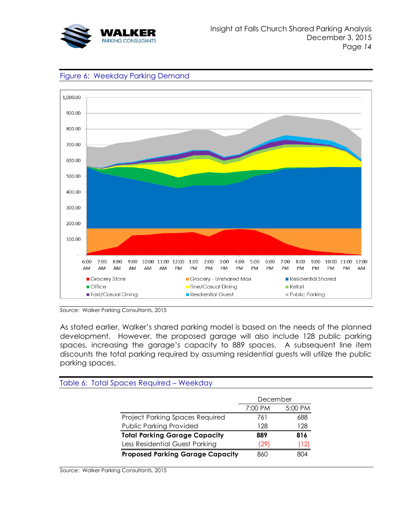





Source: Walker Parking Consultants, 2015

As stated earlier, Walker's shared parking model is based on the needs of the planned development. However, the proposed garage will also include 128 public parking spaces, increasing the garage's capacity to 889 spaces. A subsequent line item discounts the total parking required by assuming residential guests will utilize the public parking spaces.

|                                         | December |         |
|-----------------------------------------|----------|---------|
|                                         | 7:00 PM  | 5:00 PM |
| Project Parking Spaces Required         | 761      | 688     |
| Public Parking Provided                 | 128      | 128     |
| <b>Total Parking Garage Capacity</b>    | 889      | 816     |
| Less Residential Guest Parking          | (29      | [12]    |
| <b>Proposed Parking Garage Capacity</b> | 860      | 804     |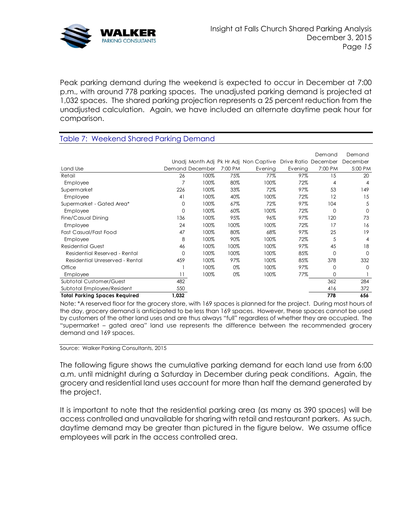

Peak parking demand during the weekend is expected to occur in December at 7:00 p.m., with around 778 parking spaces. The unadjusted parking demand is projected at 1,032 spaces. The shared parking projection represents a 25 percent reduction from the unadjusted calculation. Again, we have included an alternate daytime peak hour for comparison.

### Table 7: Weekend Shared Parking Demand

|                                      |       |                 |         |                                       |                      | Demand  | Demand         |
|--------------------------------------|-------|-----------------|---------|---------------------------------------|----------------------|---------|----------------|
|                                      |       |                 |         | Unadj Month Adj Pk Hr Adj Non Captive | Drive Ratio December |         | December       |
| Land Use                             |       | Demand December | 7:00 PM | Evening                               | Evening              | 7:00 PM | 5:00 PM        |
| Retail                               | 26    | 100%            | 75%     | 77%                                   | 97%                  | 15      | 20             |
| Employee                             |       | 100%            | 80%     | 100%                                  | 72%                  | 4       | 4              |
| Supermarket                          | 226   | 100%            | 33%     | 72%                                   | 97%                  | 53      | 149            |
| Employee                             | 41    | 100%            | 40%     | 100%                                  | 72%                  | 12      | 15             |
| Supermarket - Gated Area*            | 0     | 100%            | 67%     | 72%                                   | 97%                  | 104     | 5              |
| Employee                             | 0     | 100%            | 60%     | 100%                                  | 72%                  | O       | O              |
| Fine/Casual Dining                   | 136   | 100%            | 95%     | 96%                                   | 97%                  | 120     | 73             |
| Employee                             | 24    | 100%            | 100%    | 100%                                  | 72%                  | 17      | 16             |
| Fast Casual/Fast Food                | 47    | 100%            | 80%     | 68%                                   | 97%                  | 25      | 19             |
| Employee                             | 8     | 100%            | 90%     | 100%                                  | 72%                  | 5       | $\overline{4}$ |
| <b>Residential Guest</b>             | 46    | 100%            | 100%    | 100%                                  | 97%                  | 45      | 18             |
| Residential Reserved - Rental        | 0     | 100%            | 100%    | 100%                                  | 85%                  | 0       | $\Omega$       |
| Residential Unreserved - Rental      | 459   | 100%            | 97%     | 100%                                  | 85%                  | 378     | 332            |
| Office                               |       | 100%            | 0%      | 100%                                  | 97%                  | 0       | $\Omega$       |
| Employee                             | 11    | 100%            | 0%      | 100%                                  | 77%                  | 0       |                |
| Subtotal Customer/Guest              | 482   |                 |         |                                       |                      | 362     | 284            |
| Subtotal Employee/Resident           | 550   |                 |         |                                       |                      | 416     | 372            |
| <b>Total Parking Spaces Required</b> | 1,032 |                 |         |                                       |                      | 778     | 656            |

Note: \*A reserved floor for the grocery store, with 169 spaces is planned for the project. During most hours of the day, grocery demand is anticipated to be less than 169 spaces. However, these spaces cannot be used by customers of the other land uses and are thus always "full" regardless of whether they are occupied. The "supermarket – gated area" land use represents the difference between the recommended grocery demand and 169 spaces.

Source: Walker Parking Consultants, 2015

The following figure shows the cumulative parking demand for each land use from 6:00 a.m. until midnight during a Saturday in December during peak conditions. Again, the grocery and residential land uses account for more than half the demand generated by the project.

It is important to note that the residential parking area (as many as 390 spaces) will be access controlled and unavailable for sharing with retail and restaurant parkers. As such, daytime demand may be greater than pictured in the figure below. We assume office employees will park in the access controlled area.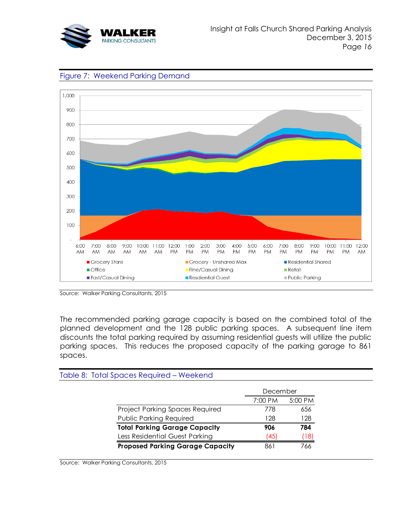





Source: Walker Parking Consultants, 2015

The recommended parking garage capacity is based on the combined total of the planned development and the 128 public parking spaces. A subsequent line item discounts the total parking required by assuming residential guests will utilize the public parking spaces. This reduces the proposed capacity of the parking garage to 861 spaces.

| December |         |
|----------|---------|
| 7:00 PM  | 5:00 PM |
| 778      | 656     |
| 128      | 128     |
| 906      | 784     |
| (45)     | 18)     |
| 861      | 766     |
|          |         |